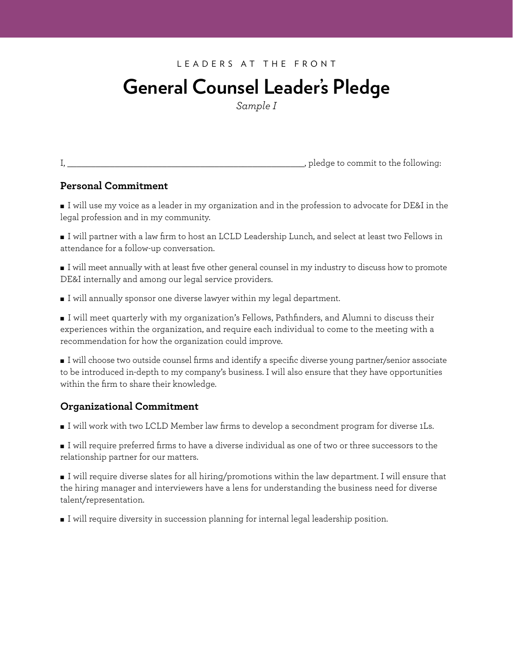## **General Counsel Leader's Pledge**

*Sample I*

| ī |              |   |
|---|--------------|---|
|   | ę<br>ł<br>×. | × |

, pledge to commit to the following:

### **Personal Commitment**

■ I will use my voice as a leader in my organization and in the profession to advocate for DE&I in the legal profession and in my community.

■ I will partner with a law firm to host an LCLD Leadership Lunch, and select at least two Fellows in attendance for a follow-up conversation.

■ I will meet annually with at least five other general counsel in my industry to discuss how to promote DE&I internally and among our legal service providers.

■ I will annually sponsor one diverse lawyer within my legal department.

■ I will meet quarterly with my organization's Fellows, Pathfinders, and Alumni to discuss their experiences within the organization, and require each individual to come to the meeting with a recommendation for how the organization could improve.

■ I will choose two outside counsel firms and identify a specific diverse young partner/senior associate to be introduced in-depth to my company's business. I will also ensure that they have opportunities within the firm to share their knowledge.

### **Organizational Commitment**

■ I will work with two LCLD Member law firms to develop a secondment program for diverse 1Ls.

■ I will require preferred firms to have a diverse individual as one of two or three successors to the relationship partner for our matters.

■ I will require diverse slates for all hiring/promotions within the law department. I will ensure that the hiring manager and interviewers have a lens for understanding the business need for diverse talent/representation.

■ I will require diversity in succession planning for internal legal leadership position.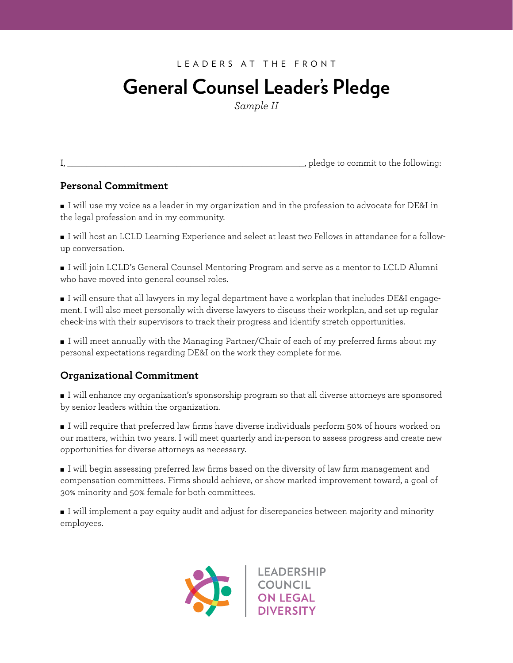# **General Counsel Leader's Pledge General Counsel Leader's Pledge**

VERSION I *Sample II*

|  | I<br>ę<br>ł<br>×. | × |
|--|-------------------|---|

I, \_\_\_\_\_\_\_\_\_\_\_\_\_\_\_\_\_\_\_\_\_\_\_\_\_\_\_\_\_\_\_\_\_\_\_\_\_\_\_\_\_\_\_\_\_\_\_\_\_\_, pledge to commit to the following: I, \_\_\_\_\_\_\_\_\_\_\_\_\_\_\_\_\_\_\_\_\_\_\_\_\_\_\_\_\_\_\_\_\_\_\_\_\_\_\_\_\_\_\_\_\_\_\_\_\_\_, pledge to commit to the following:

## **Personal Commitment Personal Commitment**

 $\,$  I will use my voice as a leader in my organization and in the profession to advocate for DE&I in the legal profession and in my community.

 $\blacksquare$  I will host an LCLD Learning Experience and select at least two Fellows in attendance for a follow $up$  conversation.  $\blacksquare$ 

 $\blacksquare$  I will join LCLD's General Counsel Mentoring Program and serve as a mentor to LCLD Alumni who have moved into general counsel roles.

 $\blacksquare$  I will ensure that all lawyers in my legal department have a workplan that includes DE&I engagement. I will also meet personally with diverse lawyers to discuss their workplan, and set up regular check-ins with their supervisors to track their progress and identify stretch opportunities.

 $\blacksquare$  I will meet annually with the Managing Partner/Chair of each of my preferred firms about my personal expectations regarding DE&I on the work they complete for me.

#### ■ I will annually sponsor one diverse lawyer within my legal department. **Organizational Commitment**

**Organizational Commitment**  by senior leaders within the organization. ■ I will enhance my organization's sponsorship program so that all diverse attorneys are sponsored

 $\blacksquare$  I will require that preferred law firms have diverse individuals perform 50% of hours worked on  $\frac{1}{\sqrt{1-\frac{1}{\sqrt{1-\frac{1}{\sqrt{1-\frac{1}{\sqrt{1-\frac{1}{\sqrt{1-\frac{1}{\sqrt{1-\frac{1}{\sqrt{1-\frac{1}{\sqrt{1-\frac{1}{\sqrt{1-\frac{1}{\sqrt{1-\frac{1}{\sqrt{1-\frac{1}{\sqrt{1-\frac{1}{\sqrt{1-\frac{1}{\sqrt{1-\frac{1}{\sqrt{1-\frac{1}{\sqrt{1-\frac{1}{\sqrt{1-\frac{1}{\sqrt{1-\frac{1}{\sqrt{1-\frac{1}{\sqrt{1-\frac{1}{\sqrt{1-\frac{1}{\sqrt{1-\frac{1}{\sqrt{1-\frac{1}{\sqrt{1-\frac{1$ relationship partner for our matters. our matters, within two years. I will meet quarterly and in-person to assess progress and create new opportunities for diverse attorneys as necessary.

compensation committees. Firms should achieve, or show marked improvement toward, a goal of here are talent interviewers have a lens for understanding the business need for diverse talent  $\frac{1}{2}$ representation. ■ I will begin assessing preferred law firms based on the diversity of law firm management and

 $\sum_{i=1}^n$  will require diversity in succession planning for  $i$ ■ I will implement a pay equity audit and adjust for discrepancies between majority and minority employees.

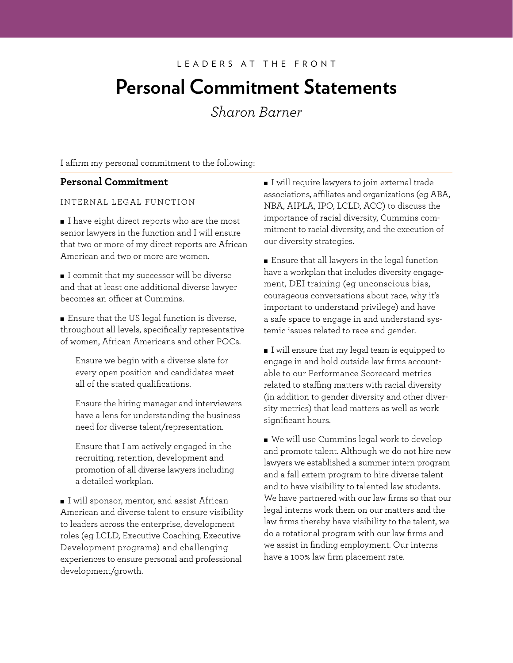## **Personal Commitment Statements**

*Sharon Barner*

I affirm my personal commitment to the following:

### **Personal Commitment**

#### INTERNAL LEGAL FUNCTION

■ I have eight direct reports who are the most senior lawyers in the function and I will ensure that two or more of my direct reports are African American and two or more are women.

■ I commit that my successor will be diverse and that at least one additional diverse lawyer becomes an officer at Cummins.

■ Ensure that the US legal function is diverse, throughout all levels, specifically representative of women, African Americans and other POCs.

Ensure we begin with a diverse slate for every open position and candidates meet all of the stated qualifications.

Ensure the hiring manager and interviewers have a lens for understanding the business need for diverse talent/representation.

Ensure that I am actively engaged in the recruiting, retention, development and promotion of all diverse lawyers including a detailed workplan.

■ I will sponsor, mentor, and assist African American and diverse talent to ensure visibility to leaders across the enterprise, development roles (eg LCLD, Executive Coaching, Executive Development programs) and challenging experiences to ensure personal and professional development/growth.

■ I will require lawyers to join external trade associations, afliates and organizations (eg ABA, NBA, AIPLA, IPO, LCLD, ACC) to discuss the importance of racial diversity, Cummins commitment to racial diversity, and the execution of our diversity strategies.

■ Ensure that all lawyers in the legal function have a workplan that includes diversity engagement, DEI training (eg unconscious bias, courageous conversations about race, why it's important to understand privilege) and have a safe space to engage in and understand systemic issues related to race and gender.

■ I will ensure that my legal team is equipped to engage in and hold outside law firms accountable to our Performance Scorecard metrics related to staffing matters with racial diversity (in addition to gender diversity and other diversity metrics) that lead matters as well as work significant hours.

■ We will use Cummins legal work to develop and promote talent. Although we do not hire new lawyers we established a summer intern program and a fall extern program to hire diverse talent and to have visibility to talented law students. We have partnered with our law firms so that our legal interns work them on our matters and the law firms thereby have visibility to the talent, we do a rotational program with our law firms and we assist in finding employment. Our interns have a 100% law firm placement rate.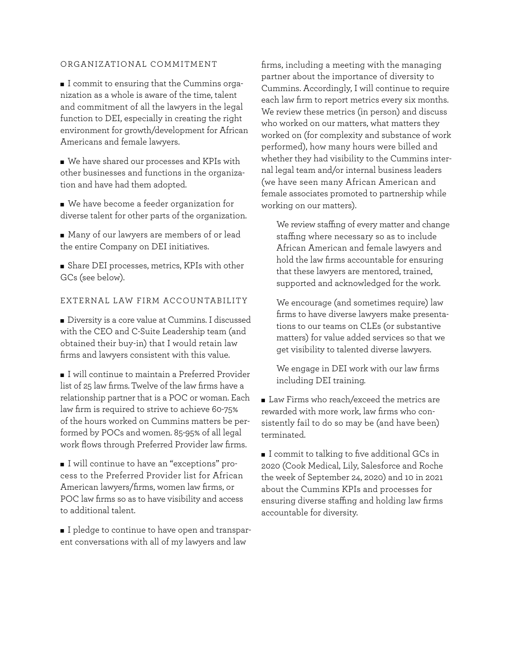#### ORGANIZATIONAL COMMITMENT

■ I commit to ensuring that the Cummins organization as a whole is aware of the time, talent and commitment of all the lawyers in the legal function to DEI, especially in creating the right environment for growth/development for African Americans and female lawyers.

■ We have shared our processes and KPIs with other businesses and functions in the organization and have had them adopted.

■ We have become a feeder organization for diverse talent for other parts of the organization.

■ Many of our lawyers are members of or lead the entire Company on DEI initiatives.

■ Share DEI processes, metrics, KPIs with other GCs (see below).

#### EXTERNAL LAW FIRM ACCOUNTABILITY

■ Diversity is a core value at Cummins. I discussed with the CEO and C-Suite Leadership team (and obtained their buy-in) that I would retain law firms and lawyers consistent with this value.

■ I will continue to maintain a Preferred Provider list of 25 law firms. Twelve of the law firms have a relationship partner that is a POC or woman. Each law firm is required to strive to achieve 60-75% of the hours worked on Cummins matters be performed by POCs and women. 85-95% of all legal work flows through Preferred Provider law firms.

■ I will continue to have an "exceptions" process to the Preferred Provider list for African American lawyers/firms, women law firms, or POC law firms so as to have visibility and access to additional talent.

■ I pledge to continue to have open and transparent conversations with all of my lawyers and law

firms, including a meeting with the managing partner about the importance of diversity to Cummins. Accordingly, I will continue to require each law firm to report metrics every six months. We review these metrics (in person) and discuss who worked on our matters, what matters they worked on (for complexity and substance of work performed), how many hours were billed and whether they had visibility to the Cummins internal legal team and/or internal business leaders (we have seen many African American and female associates promoted to partnership while working on our matters).

We review staffing of every matter and change stafng where necessary so as to include African American and female lawyers and hold the law firms accountable for ensuring that these lawyers are mentored, trained, supported and acknowledged for the work.

We encourage (and sometimes require) law firms to have diverse lawyers make presentations to our teams on CLEs (or substantive matters) for value added services so that we get visibility to talented diverse lawyers.

We engage in DEI work with our law firms including DEI training.

■ Law Firms who reach/exceed the metrics are rewarded with more work, law firms who consistently fail to do so may be (and have been) terminated.

■ I commit to talking to five additional GCs in 2020 (Cook Medical, Lily, Salesforce and Roche the week of September 24, 2020) and 10 in 2021 about the Cummins KPIs and processes for ensuring diverse staffing and holding law firms accountable for diversity.